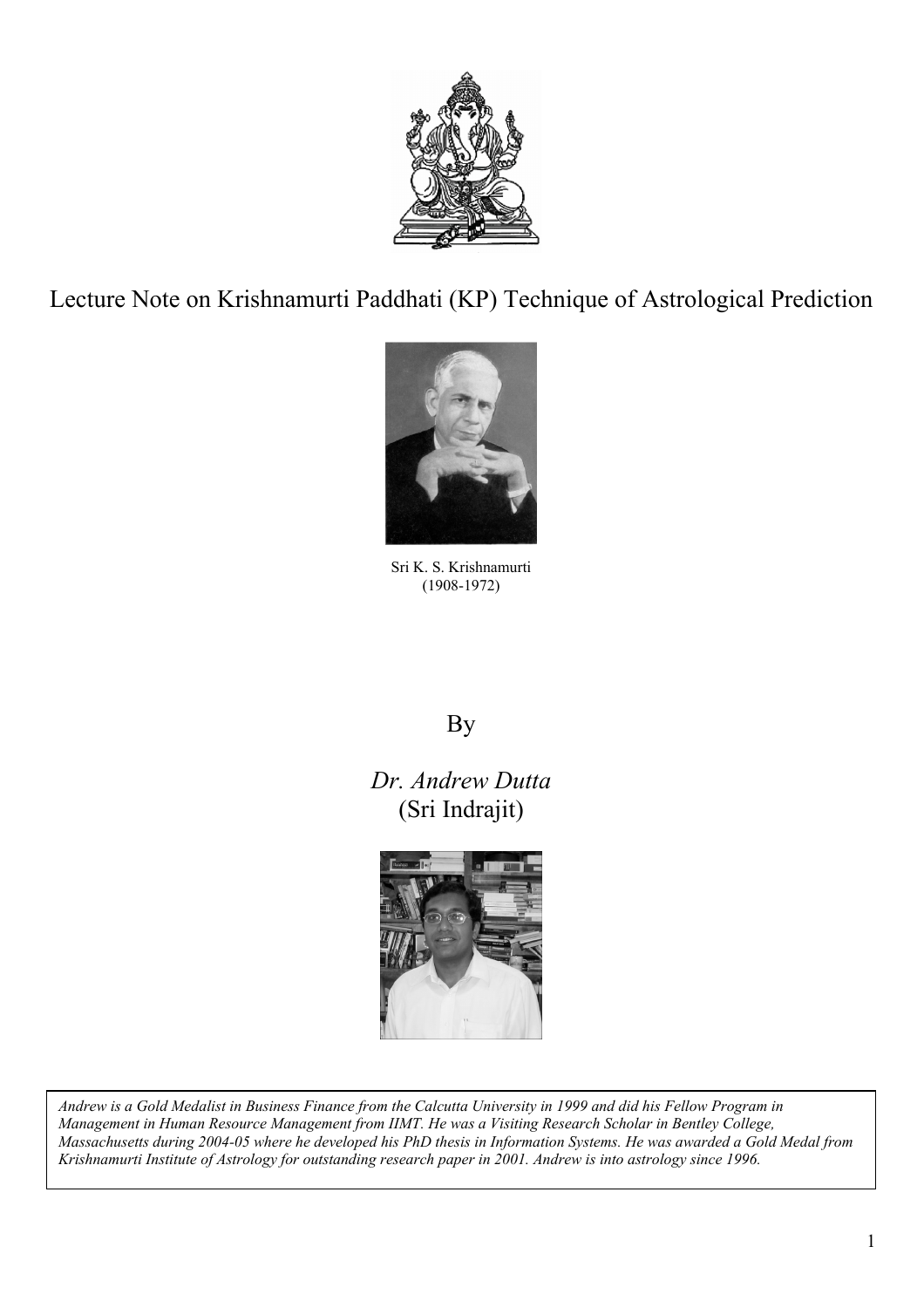

Lecture Note on Krishnamurti Paddhati (KP) Technique of Astrological Prediction



Sri K. S. Krishnamurti (1908-1972)

# By

*Dr. Andrew Dutta*  (Sri Indrajit)



*Andrew is a Gold Medalist in Business Finance from the Calcutta University in 1999 and did his Fellow Program in Management in Human Resource Management from IIMT. He was a Visiting Research Scholar in Bentley College, Massachusetts during 2004-05 where he developed his PhD thesis in Information Systems. He was awarded a Gold Medal from Krishnamurti Institute of Astrology for outstanding research paper in 2001. Andrew is into astrology since 1996.*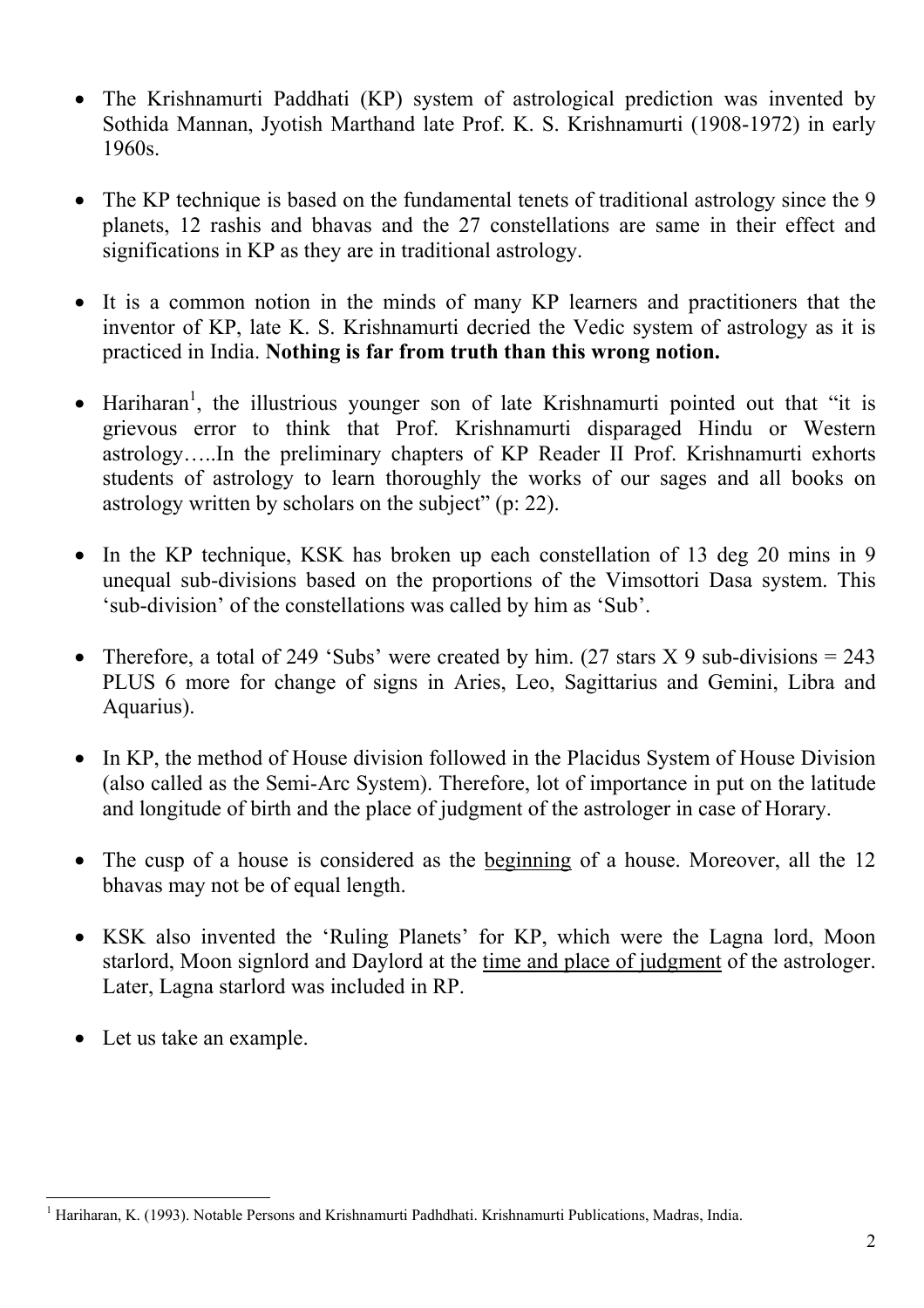- The Krishnamurti Paddhati (KP) system of astrological prediction was invented by Sothida Mannan, Jyotish Marthand late Prof. K. S. Krishnamurti (1908-1972) in early 1960s.
- The KP technique is based on the fundamental tenets of traditional astrology since the 9 planets, 12 rashis and bhavas and the 27 constellations are same in their effect and significations in KP as they are in traditional astrology.
- It is a common notion in the minds of many KP learners and practitioners that the inventor of KP, late K. S. Krishnamurti decried the Vedic system of astrology as it is practiced in India. **Nothing is far from truth than this wrong notion.**
- $\bullet$  Hariharan<sup>1</sup>, the illustrious younger son of late Krishnamurti pointed out that "it is grievous error to think that Prof. Krishnamurti disparaged Hindu or Western astrology…..In the preliminary chapters of KP Reader II Prof. Krishnamurti exhorts students of astrology to learn thoroughly the works of our sages and all books on astrology written by scholars on the subject" (p: 22).
- In the KP technique, KSK has broken up each constellation of 13 deg 20 mins in 9 unequal sub-divisions based on the proportions of the Vimsottori Dasa system. This 'sub-division' of the constellations was called by him as 'Sub'.
- Therefore, a total of 249 'Subs' were created by him. (27 stars  $X$  9 sub-divisions = 243 PLUS 6 more for change of signs in Aries, Leo, Sagittarius and Gemini, Libra and Aquarius).
- In KP, the method of House division followed in the Placidus System of House Division (also called as the Semi-Arc System). Therefore, lot of importance in put on the latitude and longitude of birth and the place of judgment of the astrologer in case of Horary.
- The cusp of a house is considered as the beginning of a house. Moreover, all the 12 bhavas may not be of equal length.
- KSK also invented the 'Ruling Planets' for KP, which were the Lagna lord, Moon starlord, Moon signlord and Daylord at the time and place of judgment of the astrologer. Later, Lagna starlord was included in RP.
- Let us take an example.

 $\overline{a}$ <sup>1</sup> Hariharan, K. (1993). Notable Persons and Krishnamurti Padhdhati. Krishnamurti Publications, Madras, India.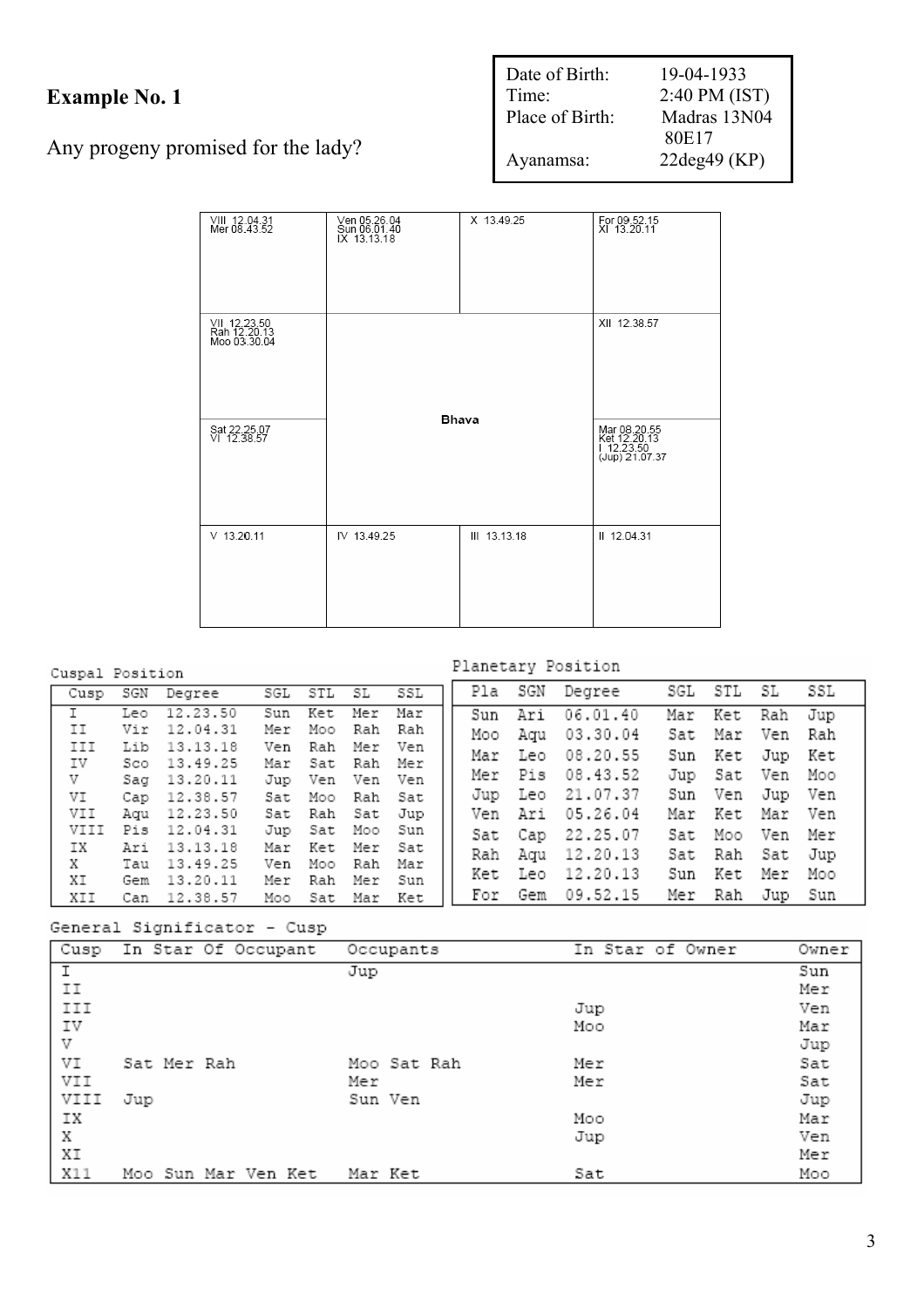# **Example No. 1**

Any progeny promised for the lady?

| Date of Birth:<br>Time: | 19-04-1933<br>2:40 PM (IST) |
|-------------------------|-----------------------------|
| Place of Birth:         | Madras 13N04                |
|                         | 80E17                       |
| Ayanamsa:               | $22deg49$ (KP)              |

| VIII 12.04.31<br>Mer 08.43.52                | Ven 05.26.04<br>Sun 06.01.40<br>IX 13.13.18 | X 13.49.25                                                   | For 09.52.15<br>XI 13.20.11 |
|----------------------------------------------|---------------------------------------------|--------------------------------------------------------------|-----------------------------|
| VII 12.23.50<br>Rah 12.20.13<br>Moo 03.30.04 |                                             | Bhava                                                        | XII 12.38.57                |
| Sat 22.25.07<br>VI 12.38.57                  |                                             | Mar 08.20.55<br>Ket 12.20.13<br>  12.23.50<br>(Jup) 21.07.37 |                             |
| $V$ 13.20.11                                 | IV 13.49.25                                 | III 13.13.18                                                 | II 12.04.31                 |

## Cuspal Position

## Planetary Position

|                | Cusp SGN Degree SGL STL SL SSL |  |                 |  | Pla SGN Degree                   | SGL STL SL SSL  |  |
|----------------|--------------------------------|--|-----------------|--|----------------------------------|-----------------|--|
|                |                                |  |                 |  |                                  |                 |  |
| $\overline{I}$ | Leo 12.23.50                   |  | Sun Ket Mer Mar |  | Sun Ari 06.01.40                 | Mar Ket Rah Jup |  |
| II             | Vir 12.04.31                   |  | Mer Moo Rah Rah |  | Moo Aqu 03.30.04                 | Sat Mar Ven Rah |  |
| III            | Lib 13.13.18                   |  | Ven Rah Mer Ven |  | Mar Leo 08.20.55                 | Sun Ket Jup Ket |  |
| IV             | Sco 13.49.25                   |  | Mar Sat Rah Mer |  |                                  |                 |  |
| V              | Saq 13.20.11                   |  | Jup Ven Ven Ven |  | Mer Pis 08.43.52                 | Jup Sat Ven Moo |  |
| VI             | Cap 12.38.57 Sat Moo Rah Sat   |  |                 |  | Jup Leo 21.07.37                 | Sun Ven Jup Ven |  |
| VII            | Aqu 12.23.50                   |  | Sat Rah Sat Jup |  | Ven Ari 05.26.04                 | Mar Ket Mar Ven |  |
| VIII           | Pis 12.04.31                   |  | Jup Sat Moo Sun |  | Sat Cap 22.25.07                 | Sat Moo Ven Mer |  |
| IX             | Ari 13.13.18                   |  | Mar Ket Mer Sat |  | Rah Aqu 12.20.13                 | Sat Rah Sat Jup |  |
| X.             | Tau 13.49.25                   |  | Ven Moo Rah Mar |  |                                  |                 |  |
| ΧI             | Gem 13.20.11                   |  | Mer Rah Mer Sun |  | Ket Leo 12.20.13                 | Sun Ket Mer Moo |  |
| XII            | Can 12.38.57 Moo Sat Mar Ket   |  |                 |  | For Gem 09.52.15 Mer Rah Jup Sun |                 |  |

General Significator - Cusp

| Cusp | In Star Of Occupant | Occupants   | In Star of Owner | Owner |
|------|---------------------|-------------|------------------|-------|
|      |                     | Jup         |                  | Sun   |
| ΙI   |                     |             |                  | Mer   |
| III  |                     |             | Jup              | Ven   |
| IV   |                     |             | Moo              | Mar   |
| V    |                     |             |                  | Jup   |
| VI   | Sat Mer Rah         | Moo Sat Rah | Mer              | Sat   |
| VII  |                     | Mer         | Mer              | Sat   |
| VIII | Jup                 | Sun Ven     |                  | Jup   |
| ΙX   |                     |             | Moo              | Mar   |
| X    |                     |             | Jup              | Ven   |
| XI   |                     |             |                  | Mer   |
| X11  | Moo Sun Mar Ven Ket | Mar Ket     | Sat              | Moo   |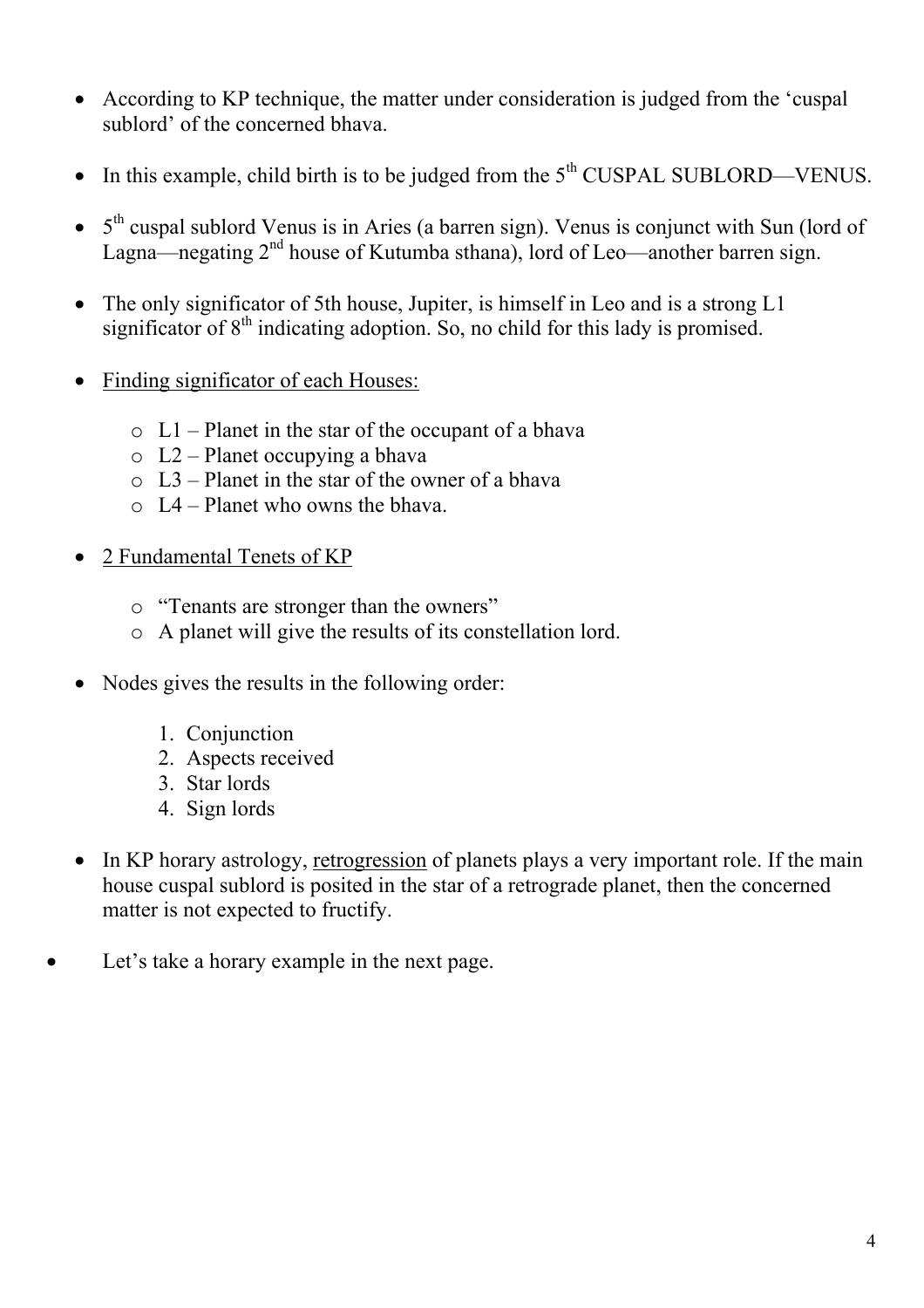- According to KP technique, the matter under consideration is judged from the 'cuspal sublord' of the concerned bhava.
- In this example, child birth is to be judged from the  $5<sup>th</sup>$  CUSPAL SUBLORD—VENUS.
- $\bullet$  5<sup>th</sup> cuspal sublord Venus is in Aries (a barren sign). Venus is conjunct with Sun (lord of Lagna—negating  $2<sup>nd</sup>$  house of Kutumba sthana), lord of Leo—another barren sign.
- The only significator of 5th house, Jupiter, is himself in Leo and is a strong L1 significator of  $8<sup>th</sup>$  indicating adoption. So, no child for this lady is promised.
- Finding significator of each Houses:
	- $\circ$  L1 Planet in the star of the occupant of a bhava
	- o L2 Planet occupying a bhava
	- $\circ$  L<sub>3</sub> Planet in the star of the owner of a bhava
	- $\circ$  I 4 Planet who owns the bhava.
- 2 Fundamental Tenets of KP
	- o "Tenants are stronger than the owners"
	- o A planet will give the results of its constellation lord.
- Nodes gives the results in the following order:
	- 1. Conjunction
	- 2. Aspects received
	- 3. Star lords
	- 4. Sign lords
- In KP horary astrology, retrogression of planets plays a very important role. If the main house cuspal sublord is posited in the star of a retrograde planet, then the concerned matter is not expected to fructify.
- Let's take a horary example in the next page.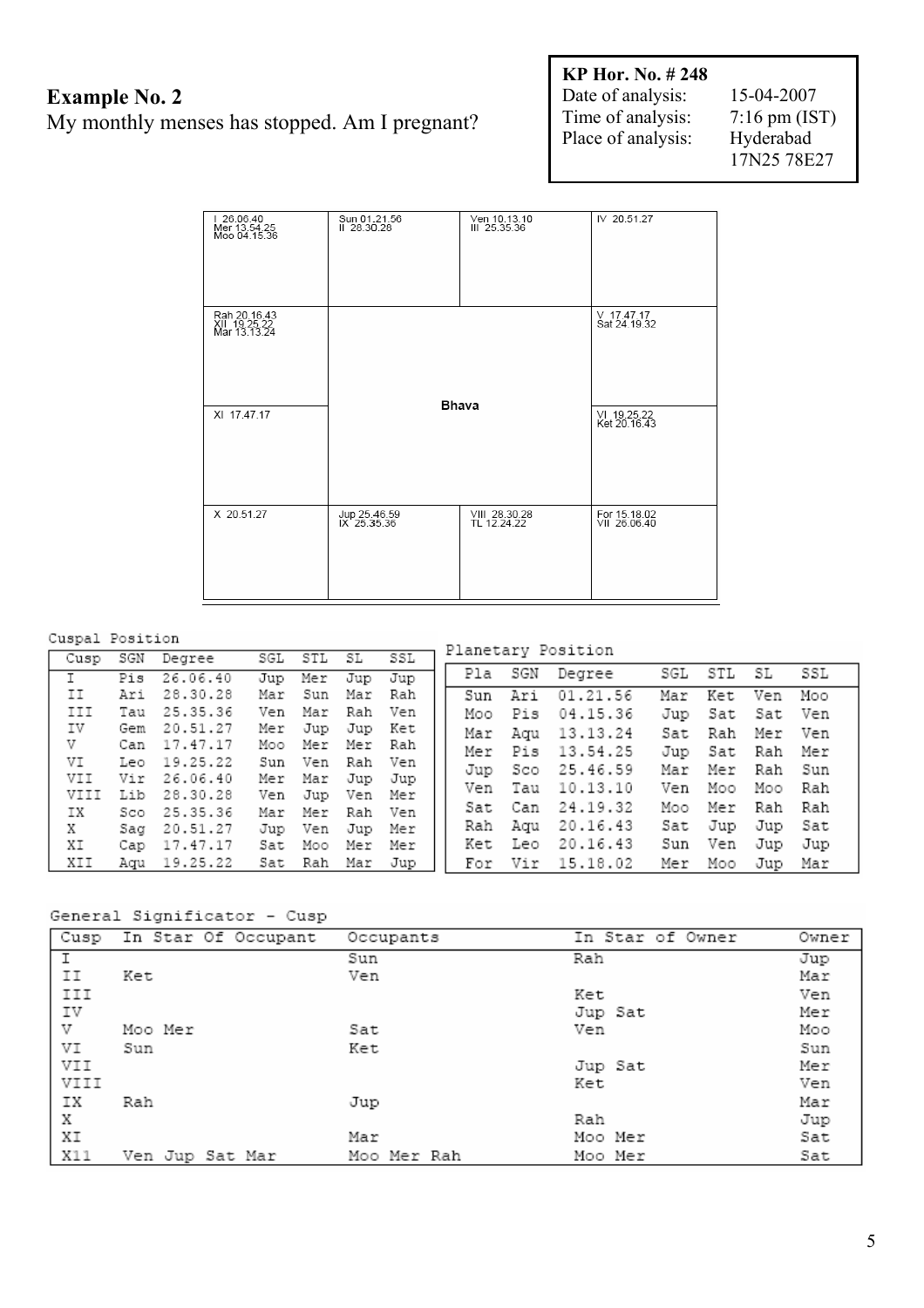## **Example No. 2**  My monthly menses has stopped. Am I pregnant?

**KP Hor. No. # 248**  Date of analysis: 15-04-2007 Time of analysis: 7:16 pm (IST) Place of analysis: Hyderabad

17N25 78E27

| 126.06.40<br>Mer 13.54.25<br>Moo 04.15.36    | Sun 01.21.56<br>II 28.30.28 | Ven 10.13.10<br>III 25.35.36 | IV 20.51.27                    |
|----------------------------------------------|-----------------------------|------------------------------|--------------------------------|
| Rah 20.16.43<br>XII 19.25.22<br>Mar 13.13.24 |                             | Bhava                        | $V$ 17.47.17<br>Sat 24, 19, 32 |
| XI 17.47.17                                  |                             | VI 19.25.22<br>Ket 20.16.43  |                                |
| X 20.51.27                                   | Jup 25.46.59<br>IX 25.35.36 | VIII 28.30.28<br>TL 12.24.22 | For 15.18.02<br>VII 26.06.40   |

### Cuspal Position

#### Planetary Position Cusp SGN Degree SGL STL  $SL$ SSL  $STL$  $\overline{\text{SL}}$  $\overline{\text{SSL}}$ Pla SGN Degree SGL  $Jup$  $\overline{\text{I}}$ Pis  $26.06.40$ Mer Jup Jup  $\mathtt{II}$ Ari 28.30.28 Mar Sun Rah  $Sun$ Ari  $01.21.56$ Mar Ket Ven Moo Mar III Tau 25.35.36 Ven Mar Rah Ven Pis Moo 04.15.36 Jup Sat Sat Ven IV Gem 20.51.27 Jup Jup Ket Mer Mar Aqu 13.13.24 Sat Rah Mer Ven V Can 17.47.17 Moo Mer Mer Rah Mer Pis 13.54.25 Jup Sat Rah Mer VI Leo 19.25.22 Sun Ven Rah Ven 25.46.59 Sco Mer Rah Sun Jup Mar Vir 26.06.40 VII Mer Mar Jup Jup 10.13.10 Moo Rah Ven Tau Ven Моо Jup VIII 28.30.28 Lib Ven Ven Mer 24.19.32 Rah Sat Can Moo Mer Rah  $Sco$ 25.35.36 Mer Rah Ven IX Mar Aqu 20.16.43 Sat Jup Jup Sat Rah X Sag 20.51.27 Jup Ven Jup Mer Ket Leo 20.16.43 Sun Ven Jup Jup ΧI Cap 17.47.17 Sat Moo Mer Mer XII Aqu 19.25.22 Sat Rah Mar Jup For Vir 15.18.02 Mer Moo Jup Mar

#### General Significator - Cusp

| Cusp | In Star Of Occupant | Occupants   | In Star of Owner | Owner |
|------|---------------------|-------------|------------------|-------|
|      |                     | Sun         | Rah              | Jup   |
| IΙ   | Ket                 | Ven         |                  | Mar   |
| III  |                     |             | Ket              | Ven   |
| IV   |                     |             | Jup Sat          | Mer   |
| V    | Moo Mer             | Sat         | Ven              | Moo   |
| VI   | Sun                 | Ket         |                  | Sun   |
| VII  |                     |             | Jup Sat          | Mer   |
| VIII |                     |             | Ket              | Ven   |
| ΙX   | Rah                 | Jup         |                  | Mar   |
| Х    |                     |             | Rah              | Jup   |
| ΧI   |                     | Mar         | Moo Mer          | Sat   |
| X11  | Ven Jup Sat Mar     | Moo Mer Rah | Moo Mer          | Sat   |